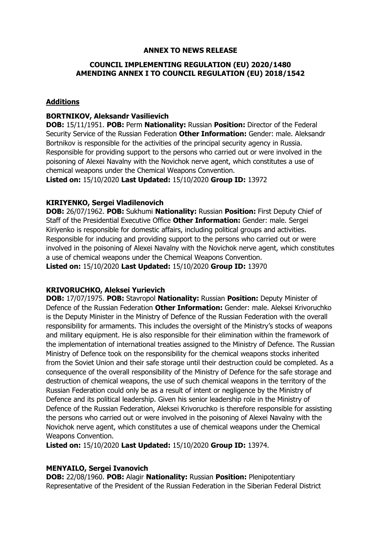## **ANNEX TO NEWS RELEASE**

## **COUNCIL IMPLEMENTING REGULATION (EU) 2020/1480 AMENDING ANNEX I TO COUNCIL REGULATION (EU) 2018/1542**

## **Additions**

## **BORTNIKOV, Aleksandr Vasilievich**

**DOB:** 15/11/1951. **POB:** Perm **Nationality:** Russian **Position:** Director of the Federal Security Service of the Russian Federation **Other Information:** Gender: male. Aleksandr Bortnikov is responsible for the activities of the principal security agency in Russia. Responsible for providing support to the persons who carried out or were involved in the poisoning of Alexei Navalny with the Novichok nerve agent, which constitutes a use of chemical weapons under the Chemical Weapons Convention.

**Listed on:** 15/10/2020 **Last Updated:** 15/10/2020 **Group ID:** 13972

### **KIRIYENKO, Sergei Vladilenovich**

**DOB:** 26/07/1962. **POB:** Sukhumi **Nationality:** Russian **Position:** First Deputy Chief of Staff of the Presidential Executive Office **Other Information:** Gender: male. Sergei Kiriyenko is responsible for domestic affairs, including political groups and activities. Responsible for inducing and providing support to the persons who carried out or were involved in the poisoning of Alexei Navalny with the Novichok nerve agent, which constitutes a use of chemical weapons under the Chemical Weapons Convention. **Listed on:** 15/10/2020 **Last Updated:** 15/10/2020 **Group ID:** 13970

#### **KRIVORUCHKO, Aleksei Yurievich**

**DOB:** 17/07/1975. **POB:** Stavropol **Nationality:** Russian **Position:** Deputy Minister of Defence of the Russian Federation **Other Information:** Gender: male. Aleksei Krivoruchko is the Deputy Minister in the Ministry of Defence of the Russian Federation with the overall responsibility for armaments. This includes the oversight of the Ministry's stocks of weapons and military equipment. He is also responsible for their elimination within the framework of the implementation of international treaties assigned to the Ministry of Defence. The Russian Ministry of Defence took on the responsibility for the chemical weapons stocks inherited from the Soviet Union and their safe storage until their destruction could be completed. As a consequence of the overall responsibility of the Ministry of Defence for the safe storage and destruction of chemical weapons, the use of such chemical weapons in the territory of the Russian Federation could only be as a result of intent or negligence by the Ministry of Defence and its political leadership. Given his senior leadership role in the Ministry of Defence of the Russian Federation, Aleksei Krivoruchko is therefore responsible for assisting the persons who carried out or were involved in the poisoning of Alexei Navalny with the Novichok nerve agent, which constitutes a use of chemical weapons under the Chemical Weapons Convention.

**Listed on:** 15/10/2020 **Last Updated:** 15/10/2020 **Group ID:** 13974.

#### **MENYAILO, Sergei Ivanovich**

**DOB:** 22/08/1960. **POB:** Alagir **Nationality:** Russian **Position:** Plenipotentiary Representative of the President of the Russian Federation in the Siberian Federal District